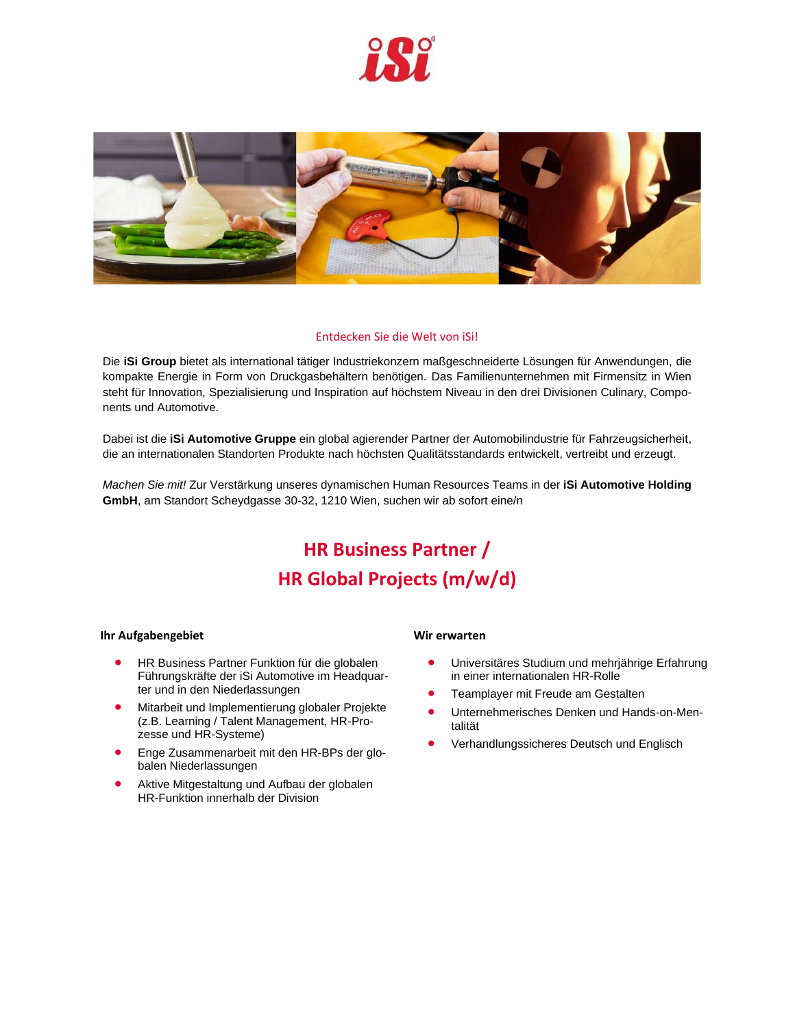



# Entdecken Sie die Welt von iSi!

Die **iSi Group** bietet als international tätiger Industriekonzern maßgeschneiderte Lösungen für Anwendungen, die kompakte Energie in Form von Druckgasbehältern benötigen. Das Familienunternehmen mit Firmensitz in Wien steht für Innovation, Spezialisierung und Inspiration auf höchstem Niveau in den drei Divisionen Culinary, Components und Automotive.

Dabei ist die **iSi Automotive Gruppe** ein global agierender Partner der Automobilindustrie für Fahrzeugsicherheit, die an internationalen Standorten Produkte nach höchsten Qualitätsstandards entwickelt, vertreibt und erzeugt.

*Machen Sie mit!* Zur Verstärkung unseres dynamischen Human Resources Teams in der **iSi Automotive Holding GmbH**, am Standort Scheydgasse 30-32, 1210 Wien, suchen wir ab sofort eine/n

# **HR Business Partner / HR Global Projects (m/w/d)**

### **Ihr Aufgabengebiet**

- HR Business Partner Funktion für die globalen Führungskräfte der iSi Automotive im Headquarter und in den Niederlassungen
- Mitarbeit und Implementierung globaler Projekte (z.B. Learning / Talent Management, HR-Prozesse und HR-Systeme)
- Enge Zusammenarbeit mit den HR-BPs der globalen Niederlassungen
- Aktive Mitgestaltung und Aufbau der globalen HR-Funktion innerhalb der Division

### **Wir erwarten**

- Universitäres Studium und mehrjährige Erfahrung in einer internationalen HR-Rolle
- Teamplayer mit Freude am Gestalten
- Unternehmerisches Denken und Hands-on-Mentalität
- Verhandlungssicheres Deutsch und Englisch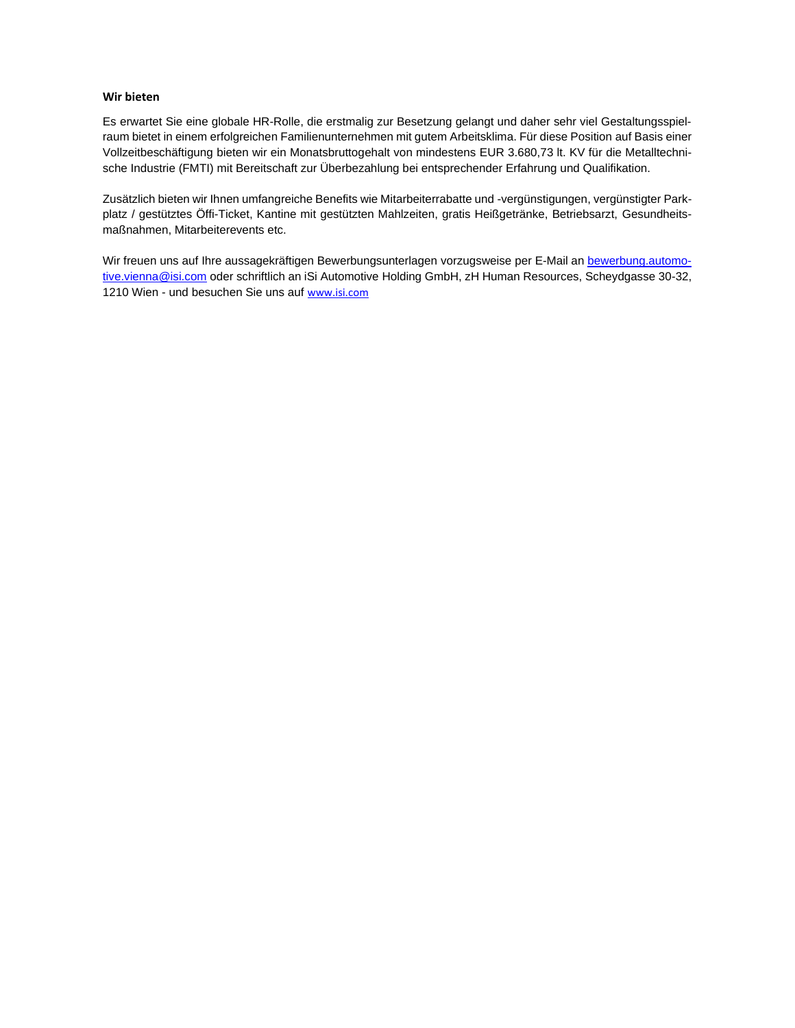# **Wir bieten**

Es erwartet Sie eine globale HR-Rolle, die erstmalig zur Besetzung gelangt und daher sehr viel Gestaltungsspielraum bietet in einem erfolgreichen Familienunternehmen mit gutem Arbeitsklima. Für diese Position auf Basis einer Vollzeitbeschäftigung bieten wir ein Monatsbruttogehalt von mindestens EUR 3.680,73 lt. KV für die Metalltechnische Industrie (FMTI) mit Bereitschaft zur Überbezahlung bei entsprechender Erfahrung und Qualifikation.

Zusätzlich bieten wir Ihnen umfangreiche Benefits wie Mitarbeiterrabatte und -vergünstigungen, vergünstigter Parkplatz / gestütztes Öffi-Ticket, Kantine mit gestützten Mahlzeiten, gratis Heißgetränke, Betriebsarzt, Gesundheitsmaßnahmen, Mitarbeiterevents etc.

Wir freuen uns auf Ihre aussagekräftigen Bewerbungsunterlagen vorzugsweise per E-Mail an [bewerbung.automo](mailto:bewerbung.automotive.vienna@isi.com)[tive.vienna@isi.com](mailto:bewerbung.automotive.vienna@isi.com) oder schriftlich an iSi Automotive Holding GmbH, zH Human Resources, Scheydgasse 30-32, 1210 Wien - und besuchen Sie uns auf [www.isi.com](http://www.isi.com/)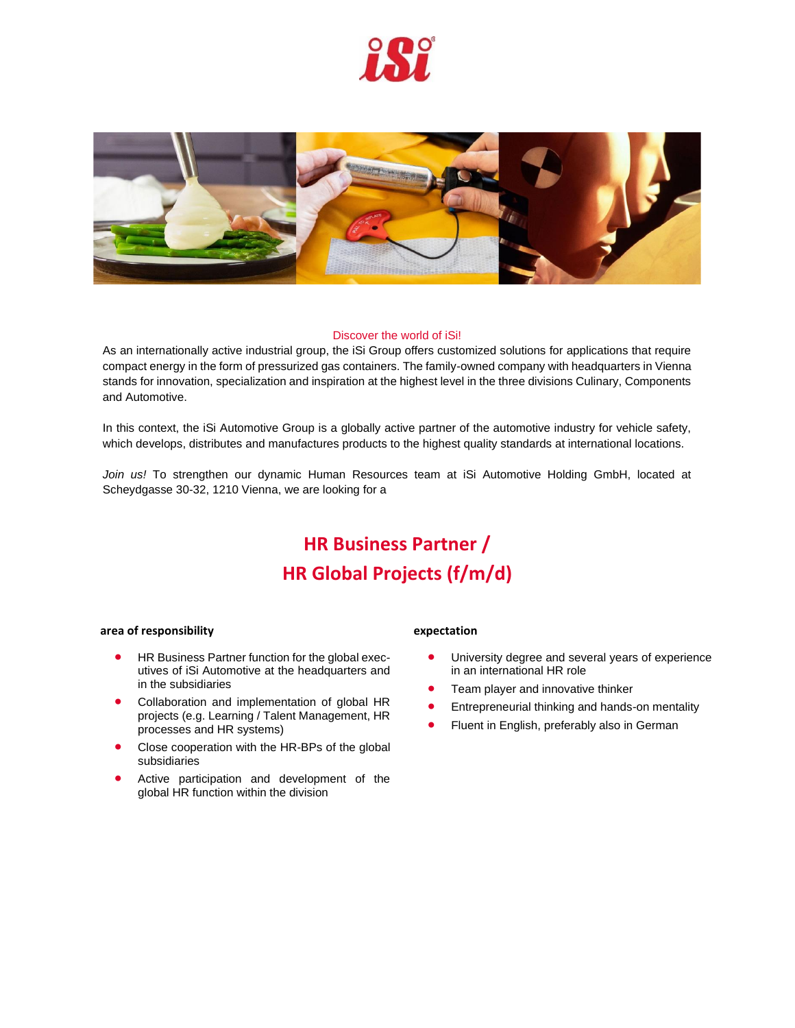



## Discover the world of iSi!

As an internationally active industrial group, the iSi Group offers customized solutions for applications that require compact energy in the form of pressurized gas containers. The family-owned company with headquarters in Vienna stands for innovation, specialization and inspiration at the highest level in the three divisions Culinary, Components and Automotive.

In this context, the iSi Automotive Group is a globally active partner of the automotive industry for vehicle safety, which develops, distributes and manufactures products to the highest quality standards at international locations.

*Join us!* To strengthen our dynamic Human Resources team at iSi Automotive Holding GmbH, located at Scheydgasse 30-32, 1210 Vienna, we are looking for a

# **HR Business Partner / HR Global Projects (f/m/d)**

### **area of responsibility**

- HR Business Partner function for the global executives of iSi Automotive at the headquarters and in the subsidiaries
- Collaboration and implementation of global HR projects (e.g. Learning / Talent Management, HR processes and HR systems)
- Close cooperation with the HR-BPs of the global subsidiaries
- Active participation and development of the global HR function within the division

#### **expectation**

- University degree and several years of experience in an international HR role
- Team player and innovative thinker
- Entrepreneurial thinking and hands-on mentality
- Fluent in English, preferably also in German